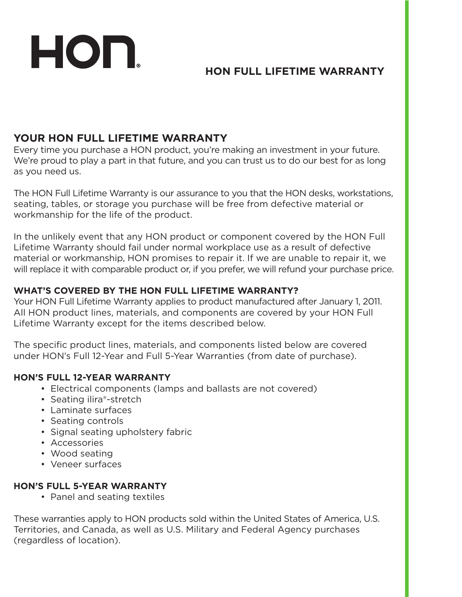# **HON FULL LIFETIME WARRANTY**

# **YOUR HON FULL LIFETIME WARRANTY**

HON.

Every time you purchase a HON product, you're making an investment in your future. We're proud to play a part in that future, and you can trust us to do our best for as long as you need us.

The HON Full Lifetime Warranty is our assurance to you that the HON desks, workstations, seating, tables, or storage you purchase will be free from defective material or workmanship for the life of the product.

In the unlikely event that any HON product or component covered by the HON Full Lifetime Warranty should fail under normal workplace use as a result of defective material or workmanship, HON promises to repair it. If we are unable to repair it, we will replace it with comparable product or, if you prefer, we will refund your purchase price.

#### **WHAT'S COVERED BY THE HON FULL LIFETIME WARRANTY?**

Your HON Full Lifetime Warranty applies to product manufactured after January 1, 2011. All HON product lines, materials, and components are covered by your HON Full Lifetime Warranty except for the items described below.

The specific product lines, materials, and components listed below are covered under HON's Full 12-Year and Full 5-Year Warranties (from date of purchase).

#### **HON'S FULL 12-YEAR WARRANTY**

- Electrical components (lamps and ballasts are not covered)
- Seating ilira®-stretch
- Laminate surfaces
- Seating controls
- Signal seating upholstery fabric
- Accessories
- Wood seating
- Veneer surfaces

## **HON'S FULL 5-YEAR WARRANTY**

• Panel and seating textiles

These warranties apply to HON products sold within the United States of America, U.S. Territories, and Canada, as well as U.S. Military and Federal Agency purchases (regardless of location).